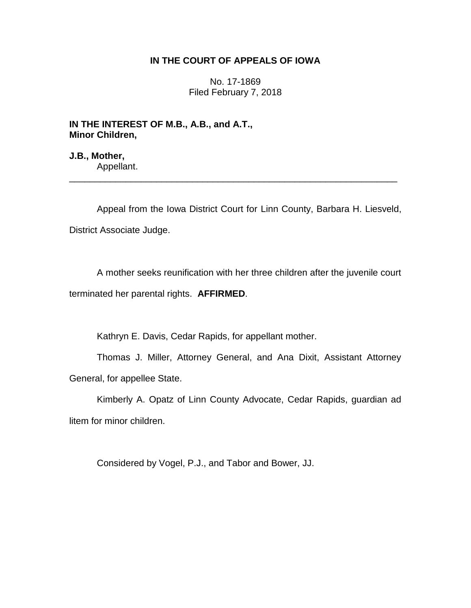# **IN THE COURT OF APPEALS OF IOWA**

No. 17-1869 Filed February 7, 2018

**IN THE INTEREST OF M.B., A.B., and A.T., Minor Children,**

**J.B., Mother,** Appellant.

Appeal from the Iowa District Court for Linn County, Barbara H. Liesveld, District Associate Judge.

\_\_\_\_\_\_\_\_\_\_\_\_\_\_\_\_\_\_\_\_\_\_\_\_\_\_\_\_\_\_\_\_\_\_\_\_\_\_\_\_\_\_\_\_\_\_\_\_\_\_\_\_\_\_\_\_\_\_\_\_\_\_\_\_

A mother seeks reunification with her three children after the juvenile court terminated her parental rights. **AFFIRMED**.

Kathryn E. Davis, Cedar Rapids, for appellant mother.

Thomas J. Miller, Attorney General, and Ana Dixit, Assistant Attorney General, for appellee State.

Kimberly A. Opatz of Linn County Advocate, Cedar Rapids, guardian ad litem for minor children.

Considered by Vogel, P.J., and Tabor and Bower, JJ.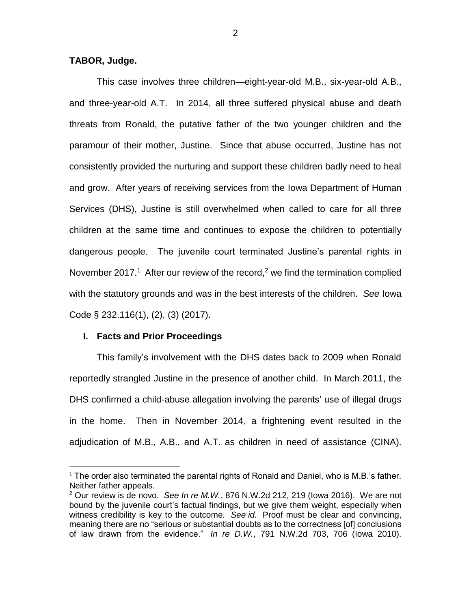## **TABOR, Judge.**

This case involves three children—eight-year-old M.B., six-year-old A.B., and three-year-old A.T. In 2014, all three suffered physical abuse and death threats from Ronald, the putative father of the two younger children and the paramour of their mother, Justine. Since that abuse occurred, Justine has not consistently provided the nurturing and support these children badly need to heal and grow. After years of receiving services from the Iowa Department of Human Services (DHS), Justine is still overwhelmed when called to care for all three children at the same time and continues to expose the children to potentially dangerous people. The juvenile court terminated Justine's parental rights in November 2017.<sup>1</sup> After our review of the record,<sup>2</sup> we find the termination complied with the statutory grounds and was in the best interests of the children. *See* Iowa Code § 232.116(1), (2), (3) (2017).

# **I. Facts and Prior Proceedings**

 $\overline{a}$ 

This family's involvement with the DHS dates back to 2009 when Ronald reportedly strangled Justine in the presence of another child. In March 2011, the DHS confirmed a child-abuse allegation involving the parents' use of illegal drugs in the home. Then in November 2014, a frightening event resulted in the adjudication of M.B., A.B., and A.T. as children in need of assistance (CINA).

 $1$  The order also terminated the parental rights of Ronald and Daniel, who is M.B.'s father. Neither father appeals.

<sup>2</sup> Our review is de novo. *See In re M.W.*, 876 N.W.2d 212, 219 (Iowa 2016). We are not bound by the juvenile court's factual findings, but we give them weight, especially when witness credibility is key to the outcome. *See id.* Proof must be clear and convincing, meaning there are no "serious or substantial doubts as to the correctness [of] conclusions of law drawn from the evidence." *In re D.W.*, 791 N.W.2d 703, 706 (Iowa 2010).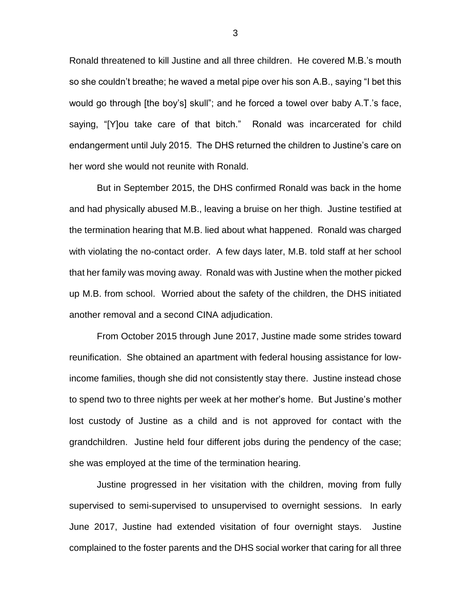Ronald threatened to kill Justine and all three children. He covered M.B.'s mouth so she couldn't breathe; he waved a metal pipe over his son A.B., saying "I bet this would go through [the boy's] skull"; and he forced a towel over baby A.T.'s face, saying, "[Y]ou take care of that bitch." Ronald was incarcerated for child endangerment until July 2015. The DHS returned the children to Justine's care on her word she would not reunite with Ronald.

But in September 2015, the DHS confirmed Ronald was back in the home and had physically abused M.B., leaving a bruise on her thigh. Justine testified at the termination hearing that M.B. lied about what happened. Ronald was charged with violating the no-contact order. A few days later, M.B. told staff at her school that her family was moving away. Ronald was with Justine when the mother picked up M.B. from school. Worried about the safety of the children, the DHS initiated another removal and a second CINA adjudication.

From October 2015 through June 2017, Justine made some strides toward reunification. She obtained an apartment with federal housing assistance for lowincome families, though she did not consistently stay there. Justine instead chose to spend two to three nights per week at her mother's home. But Justine's mother lost custody of Justine as a child and is not approved for contact with the grandchildren. Justine held four different jobs during the pendency of the case; she was employed at the time of the termination hearing.

Justine progressed in her visitation with the children, moving from fully supervised to semi-supervised to unsupervised to overnight sessions. In early June 2017, Justine had extended visitation of four overnight stays. Justine complained to the foster parents and the DHS social worker that caring for all three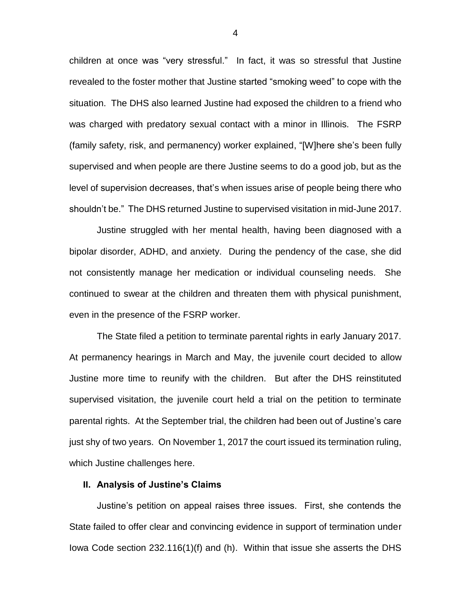children at once was "very stressful." In fact, it was so stressful that Justine revealed to the foster mother that Justine started "smoking weed" to cope with the situation. The DHS also learned Justine had exposed the children to a friend who was charged with predatory sexual contact with a minor in Illinois. The FSRP (family safety, risk, and permanency) worker explained, "[W]here she's been fully supervised and when people are there Justine seems to do a good job, but as the level of supervision decreases, that's when issues arise of people being there who shouldn't be." The DHS returned Justine to supervised visitation in mid-June 2017.

Justine struggled with her mental health, having been diagnosed with a bipolar disorder, ADHD, and anxiety. During the pendency of the case, she did not consistently manage her medication or individual counseling needs. She continued to swear at the children and threaten them with physical punishment, even in the presence of the FSRP worker.

The State filed a petition to terminate parental rights in early January 2017. At permanency hearings in March and May, the juvenile court decided to allow Justine more time to reunify with the children. But after the DHS reinstituted supervised visitation, the juvenile court held a trial on the petition to terminate parental rights. At the September trial, the children had been out of Justine's care just shy of two years. On November 1, 2017 the court issued its termination ruling, which Justine challenges here.

#### **II. Analysis of Justine's Claims**

Justine's petition on appeal raises three issues. First, she contends the State failed to offer clear and convincing evidence in support of termination under Iowa Code section 232.116(1)(f) and (h). Within that issue she asserts the DHS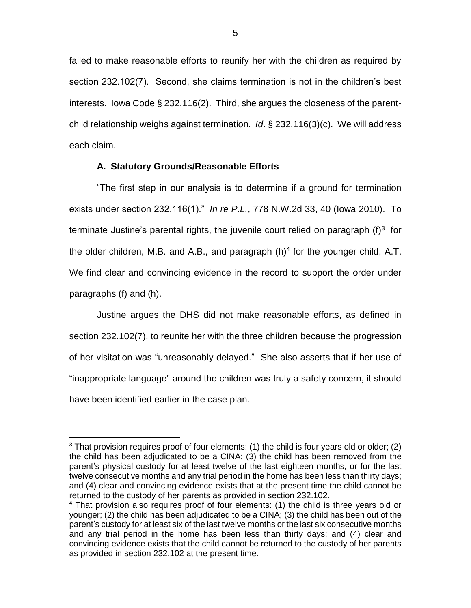failed to make reasonable efforts to reunify her with the children as required by section 232.102(7). Second, she claims termination is not in the children's best interests. Iowa Code § 232.116(2). Third, she argues the closeness of the parentchild relationship weighs against termination. *Id*. § 232.116(3)(c). We will address each claim.

## **A. Statutory Grounds/Reasonable Efforts**

 $\overline{a}$ 

"The first step in our analysis is to determine if a ground for termination exists under section 232.116(1)." *In re P.L.*, 778 N.W.2d 33, 40 (Iowa 2010). To terminate Justine's parental rights, the juvenile court relied on paragraph (f) $3$  for the older children, M.B. and A.B., and paragraph  $(h)^4$  for the younger child, A.T. We find clear and convincing evidence in the record to support the order under paragraphs (f) and (h).

Justine argues the DHS did not make reasonable efforts, as defined in section 232.102(7), to reunite her with the three children because the progression of her visitation was "unreasonably delayed." She also asserts that if her use of "inappropriate language" around the children was truly a safety concern, it should have been identified earlier in the case plan.

 $3$  That provision requires proof of four elements: (1) the child is four years old or older; (2) the child has been adjudicated to be a CINA; (3) the child has been removed from the parent's physical custody for at least twelve of the last eighteen months, or for the last twelve consecutive months and any trial period in the home has been less than thirty days; and (4) clear and convincing evidence exists that at the present time the child cannot be returned to the custody of her parents as provided in section 232.102.

 $4$  That provision also requires proof of four elements: (1) the child is three years old or younger; (2) the child has been adjudicated to be a CINA; (3) the child has been out of the parent's custody for at least six of the last twelve months or the last six consecutive months and any trial period in the home has been less than thirty days; and (4) clear and convincing evidence exists that the child cannot be returned to the custody of her parents as provided in section 232.102 at the present time.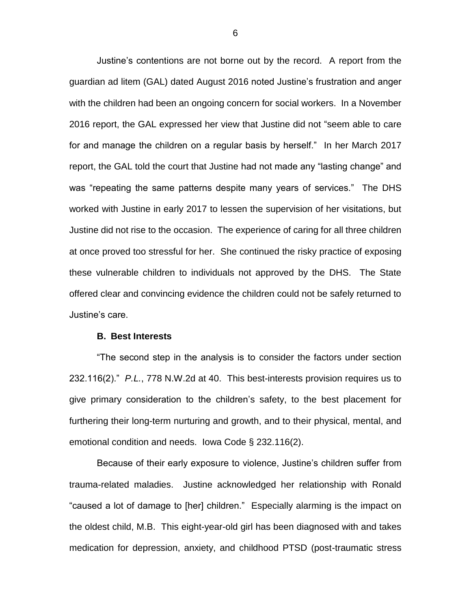Justine's contentions are not borne out by the record. A report from the guardian ad litem (GAL) dated August 2016 noted Justine's frustration and anger with the children had been an ongoing concern for social workers. In a November 2016 report, the GAL expressed her view that Justine did not "seem able to care for and manage the children on a regular basis by herself." In her March 2017 report, the GAL told the court that Justine had not made any "lasting change" and was "repeating the same patterns despite many years of services." The DHS worked with Justine in early 2017 to lessen the supervision of her visitations, but Justine did not rise to the occasion. The experience of caring for all three children at once proved too stressful for her. She continued the risky practice of exposing these vulnerable children to individuals not approved by the DHS. The State offered clear and convincing evidence the children could not be safely returned to Justine's care.

#### **B. Best Interests**

"The second step in the analysis is to consider the factors under section 232.116(2)." *P.L.*, 778 N.W.2d at 40. This best-interests provision requires us to give primary consideration to the children's safety, to the best placement for furthering their long-term nurturing and growth, and to their physical, mental, and emotional condition and needs. Iowa Code § 232.116(2).

Because of their early exposure to violence, Justine's children suffer from trauma-related maladies. Justine acknowledged her relationship with Ronald "caused a lot of damage to [her] children." Especially alarming is the impact on the oldest child, M.B. This eight-year-old girl has been diagnosed with and takes medication for depression, anxiety, and childhood PTSD (post-traumatic stress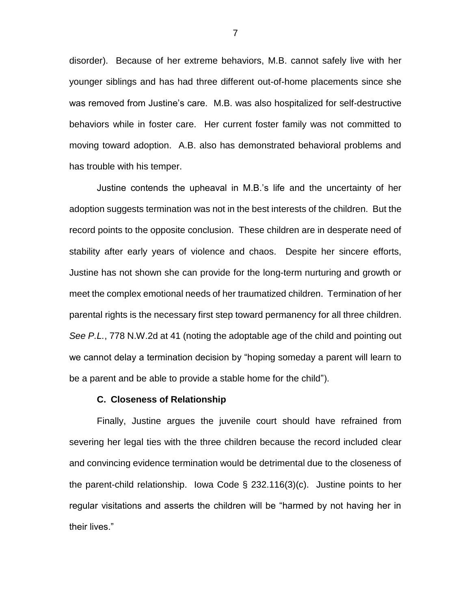disorder). Because of her extreme behaviors, M.B. cannot safely live with her younger siblings and has had three different out-of-home placements since she was removed from Justine's care. M.B. was also hospitalized for self-destructive behaviors while in foster care. Her current foster family was not committed to moving toward adoption. A.B. also has demonstrated behavioral problems and has trouble with his temper.

Justine contends the upheaval in M.B.'s life and the uncertainty of her adoption suggests termination was not in the best interests of the children. But the record points to the opposite conclusion. These children are in desperate need of stability after early years of violence and chaos. Despite her sincere efforts, Justine has not shown she can provide for the long-term nurturing and growth or meet the complex emotional needs of her traumatized children. Termination of her parental rights is the necessary first step toward permanency for all three children. *See P.L.*, 778 N.W.2d at 41 (noting the adoptable age of the child and pointing out we cannot delay a termination decision by "hoping someday a parent will learn to be a parent and be able to provide a stable home for the child").

#### **C. Closeness of Relationship**

Finally, Justine argues the juvenile court should have refrained from severing her legal ties with the three children because the record included clear and convincing evidence termination would be detrimental due to the closeness of the parent-child relationship. Iowa Code § 232.116(3)(c). Justine points to her regular visitations and asserts the children will be "harmed by not having her in their lives."

7